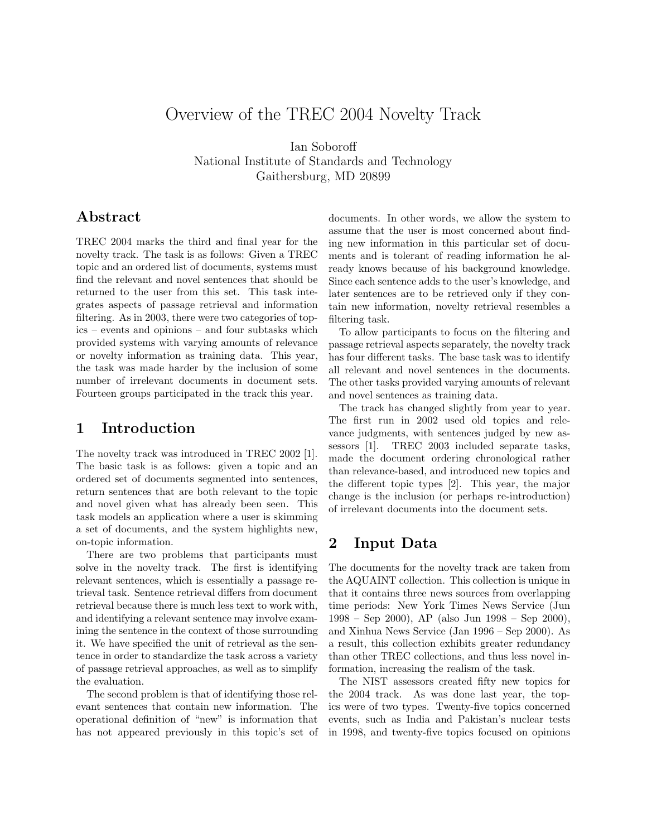# Overview of the TREC 2004 Novelty Track

Ian Soboroff National Institute of Standards and Technology Gaithersburg, MD 20899

## Abstract

TREC 2004 marks the third and final year for the novelty track. The task is as follows: Given a TREC topic and an ordered list of documents, systems must find the relevant and novel sentences that should be returned to the user from this set. This task integrates aspects of passage retrieval and information filtering. As in 2003, there were two categories of topics – events and opinions – and four subtasks which provided systems with varying amounts of relevance or novelty information as training data. This year, the task was made harder by the inclusion of some number of irrelevant documents in document sets. Fourteen groups participated in the track this year.

## 1 Introduction

The novelty track was introduced in TREC 2002 [1]. The basic task is as follows: given a topic and an ordered set of documents segmented into sentences, return sentences that are both relevant to the topic and novel given what has already been seen. This task models an application where a user is skimming a set of documents, and the system highlights new, on-topic information.

There are two problems that participants must solve in the novelty track. The first is identifying relevant sentences, which is essentially a passage retrieval task. Sentence retrieval differs from document retrieval because there is much less text to work with, and identifying a relevant sentence may involve examining the sentence in the context of those surrounding it. We have specified the unit of retrieval as the sentence in order to standardize the task across a variety of passage retrieval approaches, as well as to simplify the evaluation.

The second problem is that of identifying those relevant sentences that contain new information. The operational definition of "new" is information that has not appeared previously in this topic's set of documents. In other words, we allow the system to assume that the user is most concerned about finding new information in this particular set of documents and is tolerant of reading information he already knows because of his background knowledge. Since each sentence adds to the user's knowledge, and later sentences are to be retrieved only if they contain new information, novelty retrieval resembles a filtering task.

To allow participants to focus on the filtering and passage retrieval aspects separately, the novelty track has four different tasks. The base task was to identify all relevant and novel sentences in the documents. The other tasks provided varying amounts of relevant and novel sentences as training data.

The track has changed slightly from year to year. The first run in 2002 used old topics and relevance judgments, with sentences judged by new assessors [1]. TREC 2003 included separate tasks, made the document ordering chronological rather than relevance-based, and introduced new topics and the different topic types [2]. This year, the major change is the inclusion (or perhaps re-introduction) of irrelevant documents into the document sets.

## 2 Input Data

The documents for the novelty track are taken from the AQUAINT collection. This collection is unique in that it contains three news sources from overlapping time periods: New York Times News Service (Jun 1998 – Sep 2000), AP (also Jun 1998 – Sep 2000), and Xinhua News Service (Jan 1996 – Sep 2000). As a result, this collection exhibits greater redundancy than other TREC collections, and thus less novel information, increasing the realism of the task.

The NIST assessors created fifty new topics for the 2004 track. As was done last year, the topics were of two types. Twenty-five topics concerned events, such as India and Pakistan's nuclear tests in 1998, and twenty-five topics focused on opinions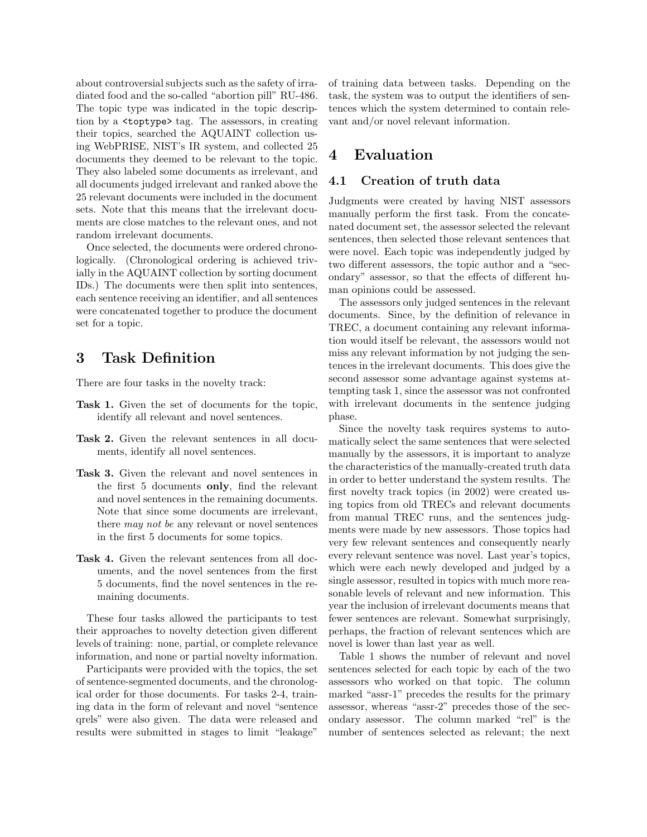about controversial subjects such as the safety of irradiated food and the so-called "abortion pill" RU-486. The topic type was indicated in the topic description by a <toptype> tag. The assessors, in creating their topics, searched the AQUAINT collection using WebPRISE, NIST's IR system, and collected 25 documents they deemed to be relevant to the topic. They also labeled some documents as irrelevant, and all documents judged irrelevant and ranked above the 25 relevant documents were included in the document sets. Note that this means that the irrelevant documents are close matches to the relevant ones, and not random irrelevant documents.

Once selected, the documents were ordered chronologically. (Chronological ordering is achieved trivially in the AQUAINT collection by sorting document IDs.) The documents were then split into sentences, each sentence receiving an identifier, and all sentences were concatenated together to produce the document set for a topic.

### 3 Task Definition

There are four tasks in the novelty track:

- Task 1. Given the set of documents for the topic, identify all relevant and novel sentences.
- Task 2. Given the relevant sentences in all documents, identify all novel sentences.
- Task 3. Given the relevant and novel sentences in the first 5 documents only, find the relevant and novel sentences in the remaining documents. Note that since some documents are irrelevant, there may not be any relevant or novel sentences in the first 5 documents for some topics.
- Task 4. Given the relevant sentences from all documents, and the novel sentences from the first 5 documents, find the novel sentences in the remaining documents.

These four tasks allowed the participants to test their approaches to novelty detection given different levels of training: none, partial, or complete relevance information, and none or partial novelty information.

Participants were provided with the topics, the set of sentence-segmented documents, and the chronological order for those documents. For tasks 2-4, training data in the form of relevant and novel "sentence qrels" were also given. The data were released and results were submitted in stages to limit "leakage"

of training data between tasks. Depending on the task, the system was to output the identifiers of sentences which the system determined to contain relevant and/or novel relevant information.

## 4 Evaluation

#### 4.1 Creation of truth data

Judgments were created by having NIST assessors manually perform the first task. From the concatenated document set, the assessor selected the relevant sentences, then selected those relevant sentences that were novel. Each topic was independently judged by two different assessors, the topic author and a "secondary" assessor, so that the effects of different human opinions could be assessed.

The assessors only judged sentences in the relevant documents. Since, by the definition of relevance in TREC, a document containing any relevant information would itself be relevant, the assessors would not miss any relevant information by not judging the sentences in the irrelevant documents. This does give the second assessor some advantage against systems attempting task 1, since the assessor was not confronted with irrelevant documents in the sentence judging phase.

Since the novelty task requires systems to automatically select the same sentences that were selected manually by the assessors, it is important to analyze the characteristics of the manually-created truth data in order to better understand the system results. The first novelty track topics (in 2002) were created using topics from old TRECs and relevant documents from manual TREC runs, and the sentences judgments were made by new assessors. Those topics had very few relevant sentences and consequently nearly every relevant sentence was novel. Last year's topics, which were each newly developed and judged by a single assessor, resulted in topics with much more reasonable levels of relevant and new information. This year the inclusion of irrelevant documents means that fewer sentences are relevant. Somewhat surprisingly, perhaps, the fraction of relevant sentences which are novel is lower than last year as well.

Table 1 shows the number of relevant and novel sentences selected for each topic by each of the two assessors who worked on that topic. The column marked "assr-1" precedes the results for the primary assessor, whereas "assr-2" precedes those of the secondary assessor. The column marked "rel" is the number of sentences selected as relevant; the next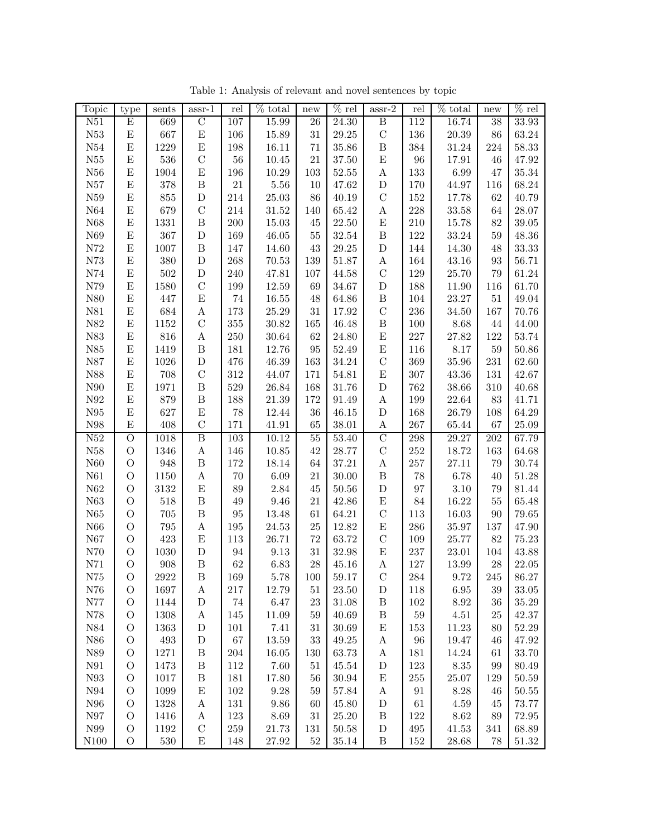| Topic                  | type                           | sents        | $\operatorname{assr-1}$ | rel        | $%$ total    | new             | $\%$ rel       | $assr-2$                    | rel       | % total      | new             | $\%$ rel       |
|------------------------|--------------------------------|--------------|-------------------------|------------|--------------|-----------------|----------------|-----------------------------|-----------|--------------|-----------------|----------------|
| N51                    | $\overline{E}$                 | 669          | $\overline{C}$          | 107        | 15.99        | $\overline{26}$ | 24.30          | $\overline{B}$              | 112       | 16.74        | $\overline{38}$ | 33.93          |
| ${\rm N53}$            | E                              | 667          | ${\bf E}$               | 106        | 15.89        | $31\,$          | 29.25          | $\mathcal{C}$               | 136       | $20.39\,$    | 86              | 63.24          |
| N54                    | ${\bf E}$                      | 1229         | $\mathbf E$             | 198        | 16.11        | 71              | 35.86          | $\, {\bf B}$                | 384       | 31.24        | 224             | 58.33          |
| N55                    | ${\bf E}$                      | 536          | ${\bf C}$               | 56         | 10.45        | 21              | 37.50          | ${\rm E}$                   | 96        | 17.91        | 46              | 47.92          |
| ${\it N56}$            | E                              | 1904         | $\mathbf E$             | 196        | 10.29        | 103             | 52.55          | A                           | 133       | 6.99         | 47              | 35.34          |
| ${\rm N57}$            | E                              | 378          | $\, {\bf B}$            | $21\,$     | 5.56         | 10              | 47.62          | ${\rm D}$                   | 170       | 44.97        | 116             | 68.24          |
| N59                    | E                              | 855          | ${\rm D}$               | 214        | 25.03        | 86              | 40.19          | $\mathcal{C}$               | $152\,$   | 17.78        | 62              | 40.79          |
| N64                    | E                              | 679          | $\mathbf C$             | 214        | $31.52\,$    | 140             | 65.42          | A                           | 228       | $33.58\,$    | 64              | 28.07          |
| ${\it N68}$            | E                              | 1331         | $\, {\bf B}$            | 200        | 15.03        | 45              | 22.50          | ${\rm E}$                   | 210       | 15.78        | 82              | 39.05          |
| ${\it N69}$            | E                              | 367          | ${\rm D}$               | 169        | 46.05        | $55\,$          | 32.54          | $\, {\bf B}$                | 122       | $33.24\,$    | 59              | 48.36          |
| ${\rm N}72$            | E                              | 1007         | $\, {\bf B}$            | 147        | 14.60        | 43              | 29.25          | ${\bf D}$                   | 144       | 14.30        | 48              | 33.33          |
| ${\it N73}$            | E                              | 380          | ${\rm D}$               | 268        | $70.53\,$    | 139             | 51.87          | $\boldsymbol{\rm{A}}$       | 164       | 43.16        | 93              | 56.71          |
| N74                    | E                              | $502\,$      | ${\rm D}$               | 240        | 47.81        | 107             | 44.58          | $\mathcal{C}$               | 129       | 25.70        | 79              | 61.24          |
| ${\rm N}79$            | E                              | 1580         | $\mathbf C$             | 199        | 12.59        | 69              | 34.67          | $\mathbf D$                 | 188       | 11.90        | 116             | 61.70          |
| ${\it N80}$            | E                              | 447          | ${\bf E}$               | $74\,$     | 16.55        | 48              | 64.86          | $\, {\bf B}$                | 104       | 23.27        | $51\,$          | 49.04          |
| ${\it N81}$            | E                              | 684          | A                       | 173        | 25.29        | 31              | 17.92          | $\mathcal{C}$               | 236       | 34.50        | 167             | 70.76          |
| ${\it N82}$            | ${\bf E}$                      | 1152         | $\mathbf C$             | $355\,$    | 30.82        | 165             | 46.48          | $\, {\bf B}$                | 100       | $8.68\,$     | 44              | 44.00          |
| ${\it N83}$            | $\mathbf E$                    | 816          | $\boldsymbol{A}$        | 250        | $30.64\,$    | 62              | 24.80          | ${\rm E}$                   | 227       | 27.82        | 122             | 53.74          |
| ${\it N85}$            | ${\bf E}$                      | 1419         | $\, {\bf B}$            | 181        | 12.76        | $\rm 95$        | 52.49          | ${\bf E}$                   | 116       | $8.17\,$     | 59              | 50.86          |
| ${\rm N}87$            | ${\bf E}$                      | 1026         | ${\rm D}$               | 476        | 46.39        | 163             | 34.24          | $\mathcal{C}$               | 369       | 35.96        | 231             | 62.60          |
| N88                    | ${\bf E}$                      | 708          | $\mathbf C$             | $312\,$    | 44.07        | 171             | 54.81          | E                           | 307       | 43.36        | 131             | 42.67          |
| N90                    | ${\bf E}$                      | 1971         | $\, {\bf B}$            | 529        | 26.84        | 168             | 31.76          | $\mathbf D$                 | 762       | 38.66        | 310             | 40.68          |
| ${\it N92}$            | ${\bf E}$                      | 879          | $\, {\bf B}$            | 188        | 21.39        | 172             | 91.49          | $\boldsymbol{A}$            | 199       | 22.64        | 83              | 41.71          |
| $\rm N95$              | ${\bf E}$                      | 627          | ${\bf E}$               | 78         | 12.44        | $36\,$          | 46.15          | $\mathbf D$                 | 168       | 26.79        | 108             | 64.29          |
| N98                    | E                              | 408          | $\mathbf C$             | 171        | 41.91        | 65              | $38.01\,$      | $\boldsymbol{\rm{A}}$       | 267       | 65.44        | 67              | $25.09\,$      |
| N52                    | $\overline{O}$                 | 1018         | $\overline{B}$          | 103        | 10.12        | 55              | 53.40          | $\overline{C}$              | 298       | 29.27        | 202             | 67.79          |
| ${\it N58}$            | $\mathcal{O}$                  | 1346         | A                       | 146        | 10.85        | $42\,$          | 28.77          | $\mathcal{C}$               | 252       | 18.72        | 163             | 64.68          |
| N60                    | $\rm{O}$                       | 948          | $\, {\bf B}$            | 172        | 18.14        | 64              | 37.21          | $\boldsymbol{\rm{A}}$       | 257       | 27.11        | 79              | 30.74          |
| N61                    | $\mathcal{O}$                  | 1150         | $\boldsymbol{A}$        | $70\,$     | 6.09         | $21\,$          | 30.00          | $\, {\bf B}$                | 78        | 6.78         | 40              | 51.28          |
| ${\it N62}$            | $\mathcal{O}$                  | 3132         | E                       | 89         | 2.84         | $45\,$          | $50.56\,$      | ${\bf D}$                   | 97        | $3.10\,$     | 79              | 81.44          |
| ${\it N63}$            | $\mathcal{O}$                  | 518          | $\, {\bf B}$            | 49         | 9.46         | 21              | 42.86          | E                           | 84        | 16.22        | 55              | 65.48          |
| N65                    | $\mathcal{O}$                  | 705          | $\, {\bf B}$            | 95         | 13.48        | 61              | 64.21          | $\mathcal{C}$               | 113       | 16.03        | 90              | 79.65          |
| ${\it N66}$            | $\mathcal{O}$                  | 795          | A                       | 195        | 24.53        | $25\,$          | 12.82          | E                           | 286       | 35.97        | 137             | 47.90          |
| ${\it N67}$            | $\rm{O}$                       | 423          | E                       | 113        | 26.71        | $72\,$          | 63.72          | $\mathcal{C}$               | 109       | 25.77        | 82              | $75.23\,$      |
| N70                    | $\rm{O}$                       | 1030         | ${\rm D}$               | 94         | 9.13         | 31              | 32.98          | E                           | 237       | 23.01        | 104             | 43.88          |
| ${\it N71}$            | $\mathcal{O}$                  | 908          | $\, {\bf B}$            | 62         | 6.83         | ${\bf 28}$      | 45.16          | A                           | 127       | 13.99        | 28              | $22.05\,$      |
| N75                    | O                              | 2922         | Β                       | 169        | 5.78         | 100             | 59.17          | $\mathbf C$                 | 284       | 9.72         | 245             | 86.27          |
| N76                    | $\mathcal{O}$                  | 1697         | A                       | $217\,$    | 12.79        | $51\,$          | 23.50          | $\mathbf D$                 | 118       | 6.95         | 39              | 33.05          |
| N77                    | $\mathcal{O}$                  | 1144         | $\mathbf D$             | $74\,$     | 6.47         | $23\,$          | 31.08          | $\, {\bf B}$                | 102       | 8.92         | 36              | 35.29          |
| N78                    | $\mathcal{O}$                  | 1308         | $\boldsymbol{A}$        | 145        | 11.09        | 59              | 40.69          | $\, {\bf B}$                | $59\,$    | 4.51         | 25              | 42.37          |
| N84                    | $\mathcal{O}$                  | 1363         | $\mathbf D$             | 101        | 7.41         | 31              | 30.69          | E                           | 153       | 11.23        | 80              | 52.29          |
| ${\it N86}$            | $\mathcal{O}$                  | 493          | $\mathbf D$             | 67         | 13.59        | $33\,$          | 49.25          | A                           | 96        | 19.47        | 46              | 47.92          |
| ${\it N89}$            | $\mathcal{O}$                  | 1271         | $\, {\bf B}$            | 204        | 16.05        | 130             | 63.73          | A                           | 181       | 14.24        | 61              | 33.70          |
| $\rm N91$              | $\mathcal{O}$                  | 1473         | $\, {\bf B}$            | 112        | 7.60         | 51              | 45.54          | $\mathbf D$                 | 123       | $8.35\,$     | 99              | 80.49          |
| ${\it N93}$            | $\mathcal{O}$                  | 1017         | $\, {\bf B}$            | 181        | 17.80        | 56              | 30.94          | E                           | 255       | $25.07\,$    | 129             | 50.59          |
| $\rm N94$<br>$\rm N96$ | $\mathcal{O}$<br>$\mathcal{O}$ | 1099         | E                       | 102<br>131 | 9.28         | $59\,$          | 57.84          | $\boldsymbol{A}$            | 91        | 8.28         | 46              | 50.55          |
| $\rm N97$              | $\mathcal{O}$                  | 1328<br>1416 | А<br>А                  | 123        | 9.86<br>8.69 | 60<br>31        | 45.80<br>25.20 | $\mathbf D$<br>$\, {\bf B}$ | 61<br>122 | 4.59<br>8.62 | 45<br>89        | 73.77<br>72.95 |
| N99                    | $\mathcal{O}$                  | 1192         | $\mathbf C$             | $259\,$    | 21.73        | 131             | 50.58          | $\mathbf D$                 | 495       | 41.53        | 341             | 68.89          |
| N100                   | $\mathcal{O}$                  | $530\,$      | ${\rm E}$               | 148        | $27.92\,$    | $52\,$          | 35.14          | $\, {\bf B}$                | 152       | $28.68\,$    | 78              | $51.32\,$      |

Table 1: Analysis of relevant and novel sentences by topic  $% \mathcal{N}$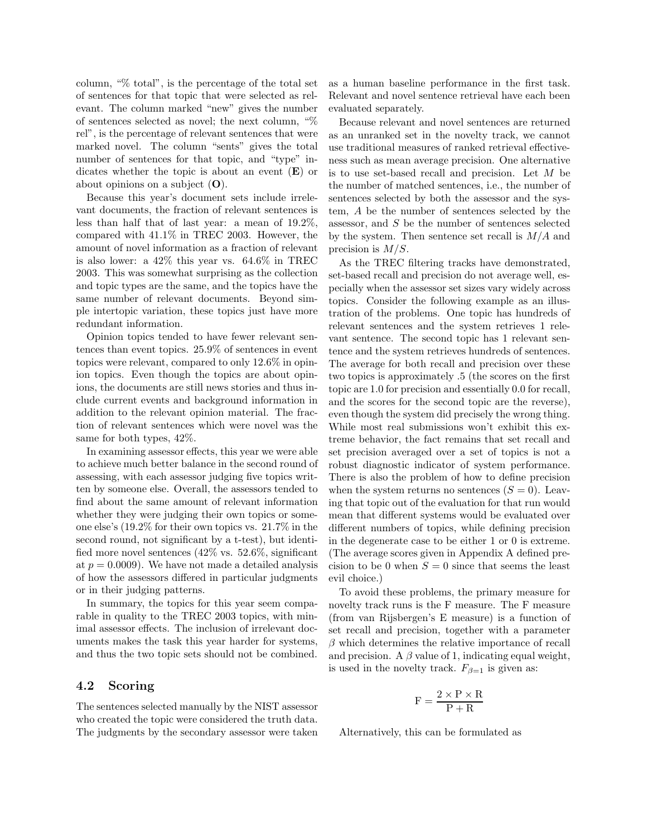column, "% total", is the percentage of the total set of sentences for that topic that were selected as relevant. The column marked "new" gives the number of sentences selected as novel; the next column, "% rel", is the percentage of relevant sentences that were marked novel. The column "sents" gives the total number of sentences for that topic, and "type" indicates whether the topic is about an event  $(E)$  or about opinions on a subject (O).

Because this year's document sets include irrelevant documents, the fraction of relevant sentences is less than half that of last year: a mean of 19.2%, compared with 41.1% in TREC 2003. However, the amount of novel information as a fraction of relevant is also lower: a 42% this year vs. 64.6% in TREC 2003. This was somewhat surprising as the collection and topic types are the same, and the topics have the same number of relevant documents. Beyond simple intertopic variation, these topics just have more redundant information.

Opinion topics tended to have fewer relevant sentences than event topics. 25.9% of sentences in event topics were relevant, compared to only 12.6% in opinion topics. Even though the topics are about opinions, the documents are still news stories and thus include current events and background information in addition to the relevant opinion material. The fraction of relevant sentences which were novel was the same for both types, 42%.

In examining assessor effects, this year we were able to achieve much better balance in the second round of assessing, with each assessor judging five topics written by someone else. Overall, the assessors tended to find about the same amount of relevant information whether they were judging their own topics or someone else's (19.2% for their own topics vs. 21.7% in the second round, not significant by a t-test), but identified more novel sentences (42% vs. 52.6%, significant at  $p = 0.0009$ . We have not made a detailed analysis of how the assessors differed in particular judgments or in their judging patterns.

In summary, the topics for this year seem comparable in quality to the TREC 2003 topics, with minimal assessor effects. The inclusion of irrelevant documents makes the task this year harder for systems, and thus the two topic sets should not be combined.

#### 4.2 Scoring

The sentences selected manually by the NIST assessor who created the topic were considered the truth data. The judgments by the secondary assessor were taken

as a human baseline performance in the first task. Relevant and novel sentence retrieval have each been evaluated separately.

Because relevant and novel sentences are returned as an unranked set in the novelty track, we cannot use traditional measures of ranked retrieval effectiveness such as mean average precision. One alternative is to use set-based recall and precision. Let M be the number of matched sentences, i.e., the number of sentences selected by both the assessor and the system, A be the number of sentences selected by the assessor, and S be the number of sentences selected by the system. Then sentence set recall is  $M/A$  and precision is  $M/S$ .

As the TREC filtering tracks have demonstrated, set-based recall and precision do not average well, especially when the assessor set sizes vary widely across topics. Consider the following example as an illustration of the problems. One topic has hundreds of relevant sentences and the system retrieves 1 relevant sentence. The second topic has 1 relevant sentence and the system retrieves hundreds of sentences. The average for both recall and precision over these two topics is approximately .5 (the scores on the first topic are 1.0 for precision and essentially 0.0 for recall, and the scores for the second topic are the reverse), even though the system did precisely the wrong thing. While most real submissions won't exhibit this extreme behavior, the fact remains that set recall and set precision averaged over a set of topics is not a robust diagnostic indicator of system performance. There is also the problem of how to define precision when the system returns no sentences  $(S = 0)$ . Leaving that topic out of the evaluation for that run would mean that different systems would be evaluated over different numbers of topics, while defining precision in the degenerate case to be either 1 or 0 is extreme. (The average scores given in Appendix A defined precision to be 0 when  $S = 0$  since that seems the least evil choice.)

To avoid these problems, the primary measure for novelty track runs is the F measure. The F measure (from van Rijsbergen's E measure) is a function of set recall and precision, together with a parameter  $\beta$  which determines the relative importance of recall and precision. A  $\beta$  value of 1, indicating equal weight, is used in the novelty track.  $F_{\beta=1}$  is given as:

$$
F = \frac{2 \times P \times R}{P + R}
$$

Alternatively, this can be formulated as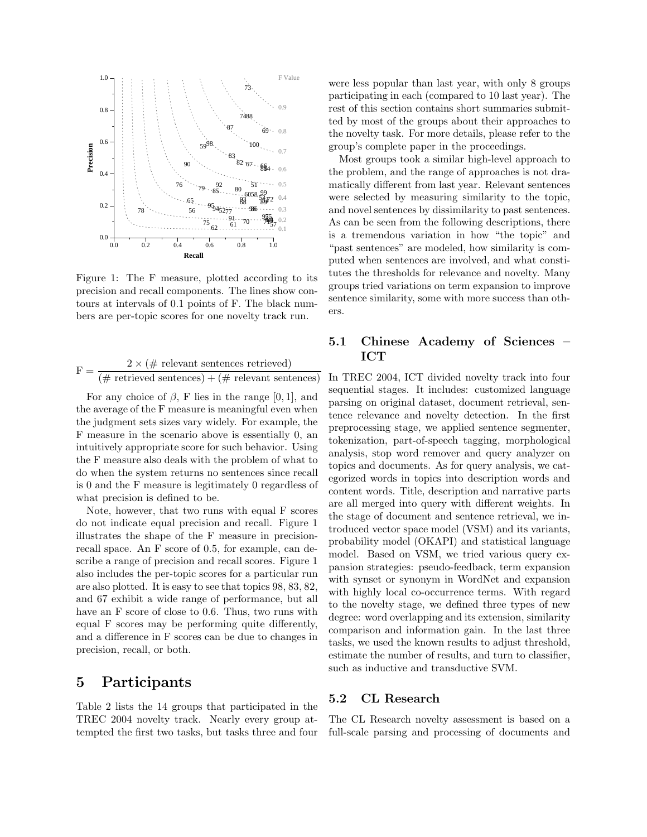

Figure 1: The F measure, plotted according to its precision and recall components. The lines show contours at intervals of 0.1 points of F. The black numbers are per-topic scores for one novelty track run.

$$
F = \frac{2 \times (\# \text{ relevant sentences retrieved})}{(\# \text{ retrieved sentences}) + (\# \text{ relevant sentences})}
$$

For any choice of  $\beta$ , F lies in the range [0, 1], and the average of the F measure is meaningful even when the judgment sets sizes vary widely. For example, the F measure in the scenario above is essentially 0, an intuitively appropriate score for such behavior. Using the F measure also deals with the problem of what to do when the system returns no sentences since recall is 0 and the F measure is legitimately 0 regardless of what precision is defined to be.

Note, however, that two runs with equal F scores do not indicate equal precision and recall. Figure 1 illustrates the shape of the F measure in precisionrecall space. An F score of 0.5, for example, can describe a range of precision and recall scores. Figure 1 also includes the per-topic scores for a particular run are also plotted. It is easy to see that topics 98, 83, 82, and 67 exhibit a wide range of performance, but all have an F score of close to 0.6. Thus, two runs with equal F scores may be performing quite differently, and a difference in F scores can be due to changes in precision, recall, or both.

### 5 Participants

Table 2 lists the 14 groups that participated in the TREC 2004 novelty track. Nearly every group attempted the first two tasks, but tasks three and four

were less popular than last year, with only 8 groups participating in each (compared to 10 last year). The rest of this section contains short summaries submitted by most of the groups about their approaches to the novelty task. For more details, please refer to the group's complete paper in the proceedings.

Most groups took a similar high-level approach to the problem, and the range of approaches is not dramatically different from last year. Relevant sentences were selected by measuring similarity to the topic, and novel sentences by dissimilarity to past sentences. As can be seen from the following descriptions, there is a tremendous variation in how "the topic" and "past sentences" are modeled, how similarity is computed when sentences are involved, and what constitutes the thresholds for relevance and novelty. Many groups tried variations on term expansion to improve sentence similarity, some with more success than others.

#### 5.1 Chinese Academy of Sciences – ICT

In TREC 2004, ICT divided novelty track into four sequential stages. It includes: customized language parsing on original dataset, document retrieval, sentence relevance and novelty detection. In the first preprocessing stage, we applied sentence segmenter, tokenization, part-of-speech tagging, morphological analysis, stop word remover and query analyzer on topics and documents. As for query analysis, we categorized words in topics into description words and content words. Title, description and narrative parts are all merged into query with different weights. In the stage of document and sentence retrieval, we introduced vector space model (VSM) and its variants, probability model (OKAPI) and statistical language model. Based on VSM, we tried various query expansion strategies: pseudo-feedback, term expansion with synset or synonym in WordNet and expansion with highly local co-occurrence terms. With regard to the novelty stage, we defined three types of new degree: word overlapping and its extension, similarity comparison and information gain. In the last three tasks, we used the known results to adjust threshold, estimate the number of results, and turn to classifier, such as inductive and transductive SVM.

#### 5.2 CL Research

The CL Research novelty assessment is based on a full-scale parsing and processing of documents and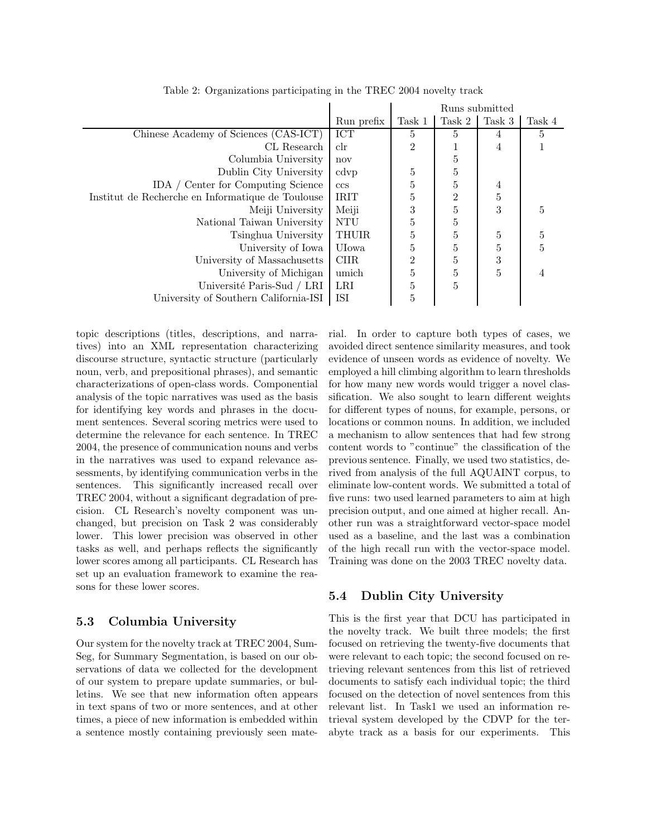|                                                   |              | Runs submitted |                  |        |                |
|---------------------------------------------------|--------------|----------------|------------------|--------|----------------|
|                                                   | Run prefix   | Task 1         | Task 2           | Task 3 | Task 4         |
| Chinese Academy of Sciences (CAS-ICT)             | ICT          | 5              | 5                | 4      | 5              |
| CL Research                                       | $_{\rm clr}$ | 2              |                  | 4      |                |
| Columbia University                               | nov          |                | 5                |        |                |
| Dublin City University                            | cdvp         | 5              | $\overline{5}$   |        |                |
| IDA / Center for Computing Science                | ccs          | 5              | $\overline{5}$   | 4      |                |
| Institut de Recherche en Informatique de Toulouse | <b>IRIT</b>  | 5              | $\boldsymbol{2}$ | 5      |                |
| Meiji University                                  | Meiji        | 3              | $\overline{5}$   | 3      | 5              |
| National Taiwan University                        | <b>NTU</b>   | 5              | 5                |        |                |
| Tsinghua University                               | <b>THUIR</b> | 5              | $\overline{5}$   | 5      | $\bf 5$        |
| University of Iowa                                | UIowa        | 5              | 5                | 5      | $\overline{5}$ |
| University of Massachusetts                       | CIIR.        | $\overline{2}$ | 5                | 3      |                |
| University of Michigan                            | umich        | 5              | $\overline{5}$   | 5      | 4              |
| Université Paris-Sud / LRI                        | LRI          | 5              | 5                |        |                |
| University of Southern California-ISI             | ISI          | 5              |                  |        |                |
|                                                   |              |                |                  |        |                |

Table 2: Organizations participating in the TREC 2004 novelty track

topic descriptions (titles, descriptions, and narratives) into an XML representation characterizing discourse structure, syntactic structure (particularly noun, verb, and prepositional phrases), and semantic characterizations of open-class words. Componential analysis of the topic narratives was used as the basis for identifying key words and phrases in the document sentences. Several scoring metrics were used to determine the relevance for each sentence. In TREC 2004, the presence of communication nouns and verbs in the narratives was used to expand relevance assessments, by identifying communication verbs in the sentences. This significantly increased recall over TREC 2004, without a significant degradation of precision. CL Research's novelty component was unchanged, but precision on Task 2 was considerably lower. This lower precision was observed in other tasks as well, and perhaps reflects the significantly lower scores among all participants. CL Research has set up an evaluation framework to examine the reasons for these lower scores.

#### 5.3 Columbia University

Our system for the novelty track at TREC 2004, Sum-Seg, for Summary Segmentation, is based on our observations of data we collected for the development of our system to prepare update summaries, or bulletins. We see that new information often appears in text spans of two or more sentences, and at other times, a piece of new information is embedded within a sentence mostly containing previously seen material. In order to capture both types of cases, we avoided direct sentence similarity measures, and took evidence of unseen words as evidence of novelty. We employed a hill climbing algorithm to learn thresholds for how many new words would trigger a novel classification. We also sought to learn different weights for different types of nouns, for example, persons, or locations or common nouns. In addition, we included a mechanism to allow sentences that had few strong content words to "continue" the classification of the previous sentence. Finally, we used two statistics, derived from analysis of the full AQUAINT corpus, to eliminate low-content words. We submitted a total of five runs: two used learned parameters to aim at high precision output, and one aimed at higher recall. Another run was a straightforward vector-space model used as a baseline, and the last was a combination of the high recall run with the vector-space model. Training was done on the 2003 TREC novelty data.

#### 5.4 Dublin City University

This is the first year that DCU has participated in the novelty track. We built three models; the first focused on retrieving the twenty-five documents that were relevant to each topic; the second focused on retrieving relevant sentences from this list of retrieved documents to satisfy each individual topic; the third focused on the detection of novel sentences from this relevant list. In Task1 we used an information retrieval system developed by the CDVP for the terabyte track as a basis for our experiments. This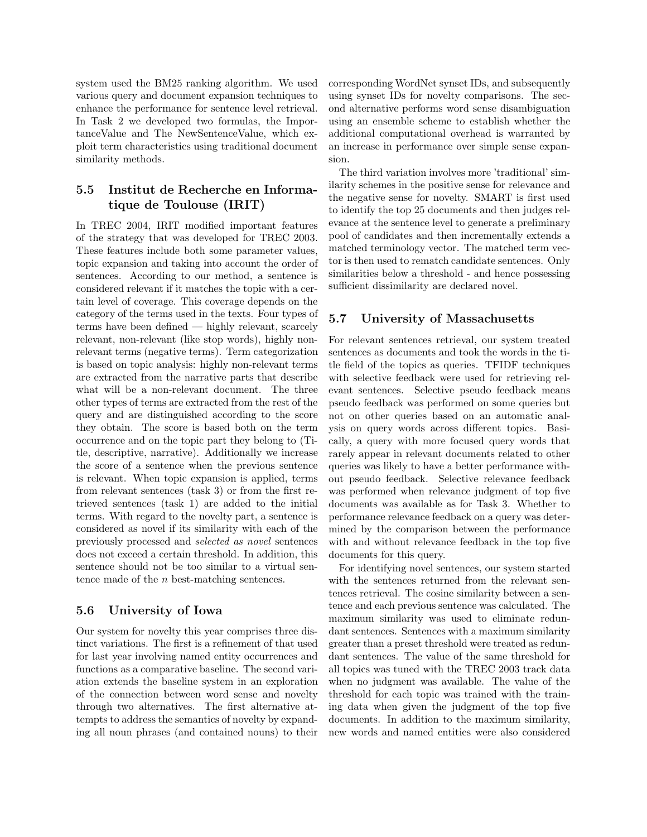system used the BM25 ranking algorithm. We used various query and document expansion techniques to enhance the performance for sentence level retrieval. In Task 2 we developed two formulas, the ImportanceValue and The NewSentenceValue, which exploit term characteristics using traditional document similarity methods.

### 5.5 Institut de Recherche en Informatique de Toulouse (IRIT)

In TREC 2004, IRIT modified important features of the strategy that was developed for TREC 2003. These features include both some parameter values, topic expansion and taking into account the order of sentences. According to our method, a sentence is considered relevant if it matches the topic with a certain level of coverage. This coverage depends on the category of the terms used in the texts. Four types of terms have been defined — highly relevant, scarcely relevant, non-relevant (like stop words), highly nonrelevant terms (negative terms). Term categorization is based on topic analysis: highly non-relevant terms are extracted from the narrative parts that describe what will be a non-relevant document. The three other types of terms are extracted from the rest of the query and are distinguished according to the score they obtain. The score is based both on the term occurrence and on the topic part they belong to (Title, descriptive, narrative). Additionally we increase the score of a sentence when the previous sentence is relevant. When topic expansion is applied, terms from relevant sentences (task 3) or from the first retrieved sentences (task 1) are added to the initial terms. With regard to the novelty part, a sentence is considered as novel if its similarity with each of the previously processed and selected as novel sentences does not exceed a certain threshold. In addition, this sentence should not be too similar to a virtual sentence made of the n best-matching sentences.

#### 5.6 University of Iowa

Our system for novelty this year comprises three distinct variations. The first is a refinement of that used for last year involving named entity occurrences and functions as a comparative baseline. The second variation extends the baseline system in an exploration of the connection between word sense and novelty through two alternatives. The first alternative attempts to address the semantics of novelty by expanding all noun phrases (and contained nouns) to their

corresponding WordNet synset IDs, and subsequently using synset IDs for novelty comparisons. The second alternative performs word sense disambiguation using an ensemble scheme to establish whether the additional computational overhead is warranted by an increase in performance over simple sense expansion.

The third variation involves more 'traditional' similarity schemes in the positive sense for relevance and the negative sense for novelty. SMART is first used to identify the top 25 documents and then judges relevance at the sentence level to generate a preliminary pool of candidates and then incrementally extends a matched terminology vector. The matched term vector is then used to rematch candidate sentences. Only similarities below a threshold - and hence possessing sufficient dissimilarity are declared novel.

#### 5.7 University of Massachusetts

For relevant sentences retrieval, our system treated sentences as documents and took the words in the title field of the topics as queries. TFIDF techniques with selective feedback were used for retrieving relevant sentences. Selective pseudo feedback means pseudo feedback was performed on some queries but not on other queries based on an automatic analysis on query words across different topics. Basically, a query with more focused query words that rarely appear in relevant documents related to other queries was likely to have a better performance without pseudo feedback. Selective relevance feedback was performed when relevance judgment of top five documents was available as for Task 3. Whether to performance relevance feedback on a query was determined by the comparison between the performance with and without relevance feedback in the top five documents for this query.

For identifying novel sentences, our system started with the sentences returned from the relevant sentences retrieval. The cosine similarity between a sentence and each previous sentence was calculated. The maximum similarity was used to eliminate redundant sentences. Sentences with a maximum similarity greater than a preset threshold were treated as redundant sentences. The value of the same threshold for all topics was tuned with the TREC 2003 track data when no judgment was available. The value of the threshold for each topic was trained with the training data when given the judgment of the top five documents. In addition to the maximum similarity, new words and named entities were also considered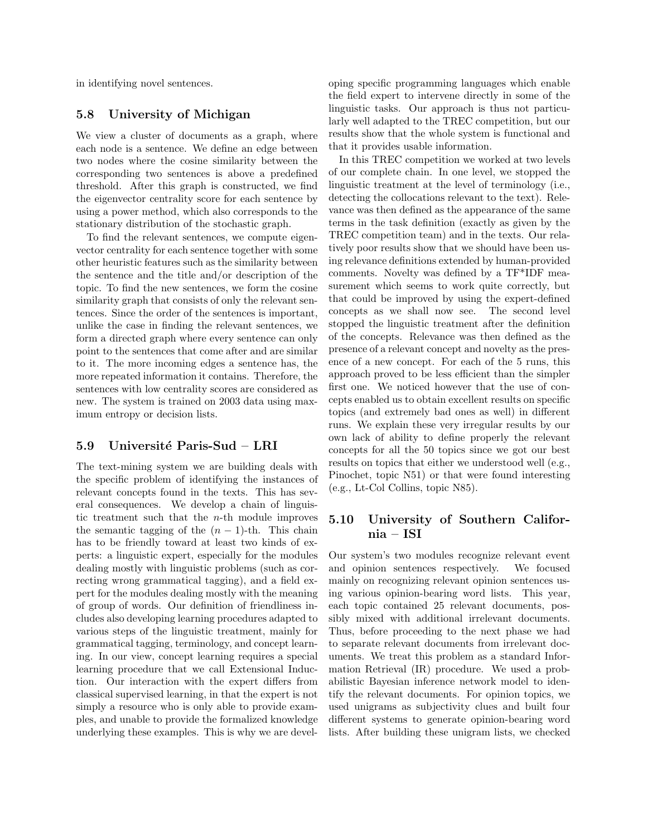in identifying novel sentences.

#### 5.8 University of Michigan

We view a cluster of documents as a graph, where each node is a sentence. We define an edge between two nodes where the cosine similarity between the corresponding two sentences is above a predefined threshold. After this graph is constructed, we find the eigenvector centrality score for each sentence by using a power method, which also corresponds to the stationary distribution of the stochastic graph.

To find the relevant sentences, we compute eigenvector centrality for each sentence together with some other heuristic features such as the similarity between the sentence and the title and/or description of the topic. To find the new sentences, we form the cosine similarity graph that consists of only the relevant sentences. Since the order of the sentences is important, unlike the case in finding the relevant sentences, we form a directed graph where every sentence can only point to the sentences that come after and are similar to it. The more incoming edges a sentence has, the more repeated information it contains. Therefore, the sentences with low centrality scores are considered as new. The system is trained on 2003 data using maximum entropy or decision lists.

#### 5.9 Université Paris-Sud – LRI

The text-mining system we are building deals with the specific problem of identifying the instances of relevant concepts found in the texts. This has several consequences. We develop a chain of linguistic treatment such that the  $n$ -th module improves the semantic tagging of the  $(n - 1)$ -th. This chain has to be friendly toward at least two kinds of experts: a linguistic expert, especially for the modules dealing mostly with linguistic problems (such as correcting wrong grammatical tagging), and a field expert for the modules dealing mostly with the meaning of group of words. Our definition of friendliness includes also developing learning procedures adapted to various steps of the linguistic treatment, mainly for grammatical tagging, terminology, and concept learning. In our view, concept learning requires a special learning procedure that we call Extensional Induction. Our interaction with the expert differs from classical supervised learning, in that the expert is not simply a resource who is only able to provide examples, and unable to provide the formalized knowledge underlying these examples. This is why we are developing specific programming languages which enable the field expert to intervene directly in some of the linguistic tasks. Our approach is thus not particularly well adapted to the TREC competition, but our results show that the whole system is functional and that it provides usable information.

In this TREC competition we worked at two levels of our complete chain. In one level, we stopped the linguistic treatment at the level of terminology (i.e., detecting the collocations relevant to the text). Relevance was then defined as the appearance of the same terms in the task definition (exactly as given by the TREC competition team) and in the texts. Our relatively poor results show that we should have been using relevance definitions extended by human-provided comments. Novelty was defined by a TF\*IDF measurement which seems to work quite correctly, but that could be improved by using the expert-defined concepts as we shall now see. The second level stopped the linguistic treatment after the definition of the concepts. Relevance was then defined as the presence of a relevant concept and novelty as the presence of a new concept. For each of the 5 runs, this approach proved to be less efficient than the simpler first one. We noticed however that the use of concepts enabled us to obtain excellent results on specific topics (and extremely bad ones as well) in different runs. We explain these very irregular results by our own lack of ability to define properly the relevant concepts for all the 50 topics since we got our best results on topics that either we understood well (e.g., Pinochet, topic N51) or that were found interesting (e.g., Lt-Col Collins, topic N85).

### 5.10 University of Southern California – ISI

Our system's two modules recognize relevant event and opinion sentences respectively. We focused mainly on recognizing relevant opinion sentences using various opinion-bearing word lists. This year, each topic contained 25 relevant documents, possibly mixed with additional irrelevant documents. Thus, before proceeding to the next phase we had to separate relevant documents from irrelevant documents. We treat this problem as a standard Information Retrieval (IR) procedure. We used a probabilistic Bayesian inference network model to identify the relevant documents. For opinion topics, we used unigrams as subjectivity clues and built four different systems to generate opinion-bearing word lists. After building these unigram lists, we checked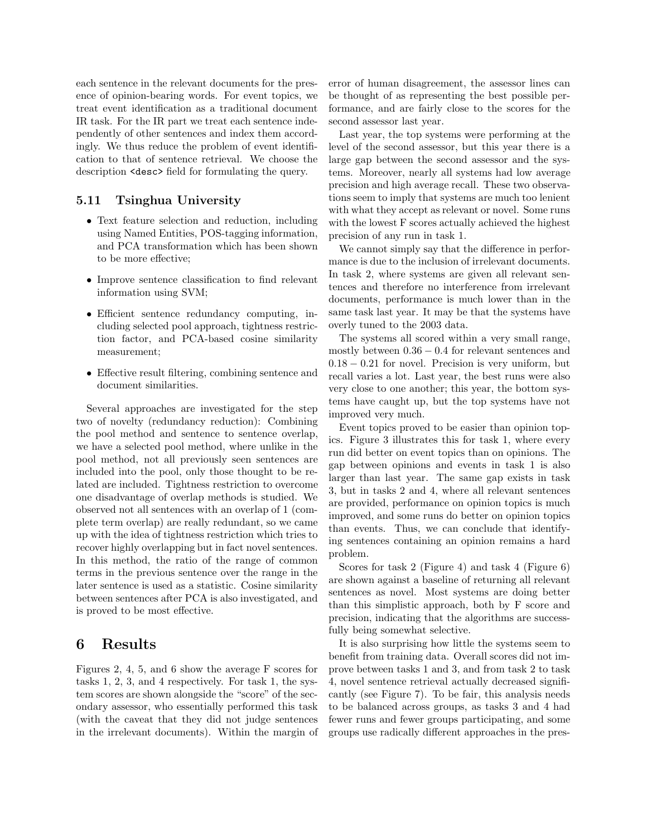each sentence in the relevant documents for the presence of opinion-bearing words. For event topics, we treat event identification as a traditional document IR task. For the IR part we treat each sentence independently of other sentences and index them accordingly. We thus reduce the problem of event identification to that of sentence retrieval. We choose the description <desc> field for formulating the query.

#### 5.11 Tsinghua University

- Text feature selection and reduction, including using Named Entities, POS-tagging information, and PCA transformation which has been shown to be more effective;
- Improve sentence classification to find relevant information using SVM;
- Efficient sentence redundancy computing, including selected pool approach, tightness restriction factor, and PCA-based cosine similarity measurement;
- Effective result filtering, combining sentence and document similarities.

Several approaches are investigated for the step two of novelty (redundancy reduction): Combining the pool method and sentence to sentence overlap, we have a selected pool method, where unlike in the pool method, not all previously seen sentences are included into the pool, only those thought to be related are included. Tightness restriction to overcome one disadvantage of overlap methods is studied. We observed not all sentences with an overlap of 1 (complete term overlap) are really redundant, so we came up with the idea of tightness restriction which tries to recover highly overlapping but in fact novel sentences. In this method, the ratio of the range of common terms in the previous sentence over the range in the later sentence is used as a statistic. Cosine similarity between sentences after PCA is also investigated, and is proved to be most effective.

### 6 Results

Figures 2, 4, 5, and 6 show the average F scores for tasks 1, 2, 3, and 4 respectively. For task 1, the system scores are shown alongside the "score" of the secondary assessor, who essentially performed this task (with the caveat that they did not judge sentences in the irrelevant documents). Within the margin of

error of human disagreement, the assessor lines can be thought of as representing the best possible performance, and are fairly close to the scores for the second assessor last year.

Last year, the top systems were performing at the level of the second assessor, but this year there is a large gap between the second assessor and the systems. Moreover, nearly all systems had low average precision and high average recall. These two observations seem to imply that systems are much too lenient with what they accept as relevant or novel. Some runs with the lowest F scores actually achieved the highest precision of any run in task 1.

We cannot simply say that the difference in performance is due to the inclusion of irrelevant documents. In task 2, where systems are given all relevant sentences and therefore no interference from irrelevant documents, performance is much lower than in the same task last year. It may be that the systems have overly tuned to the 2003 data.

The systems all scored within a very small range, mostly between  $0.36 - 0.4$  for relevant sentences and 0.18 − 0.21 for novel. Precision is very uniform, but recall varies a lot. Last year, the best runs were also very close to one another; this year, the bottom systems have caught up, but the top systems have not improved very much.

Event topics proved to be easier than opinion topics. Figure 3 illustrates this for task 1, where every run did better on event topics than on opinions. The gap between opinions and events in task 1 is also larger than last year. The same gap exists in task 3, but in tasks 2 and 4, where all relevant sentences are provided, performance on opinion topics is much improved, and some runs do better on opinion topics than events. Thus, we can conclude that identifying sentences containing an opinion remains a hard problem.

Scores for task 2 (Figure 4) and task 4 (Figure 6) are shown against a baseline of returning all relevant sentences as novel. Most systems are doing better than this simplistic approach, both by F score and precision, indicating that the algorithms are successfully being somewhat selective.

It is also surprising how little the systems seem to benefit from training data. Overall scores did not improve between tasks 1 and 3, and from task 2 to task 4, novel sentence retrieval actually decreased significantly (see Figure 7). To be fair, this analysis needs to be balanced across groups, as tasks 3 and 4 had fewer runs and fewer groups participating, and some groups use radically different approaches in the pres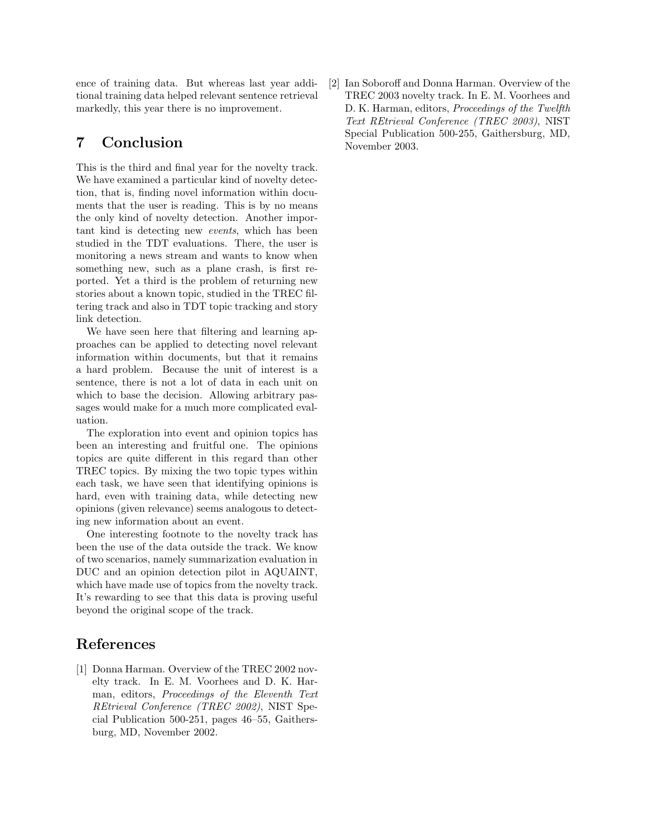ence of training data. But whereas last year additional training data helped relevant sentence retrieval markedly, this year there is no improvement.

## 7 Conclusion

This is the third and final year for the novelty track. We have examined a particular kind of novelty detection, that is, finding novel information within documents that the user is reading. This is by no means the only kind of novelty detection. Another important kind is detecting new events, which has been studied in the TDT evaluations. There, the user is monitoring a news stream and wants to know when something new, such as a plane crash, is first reported. Yet a third is the problem of returning new stories about a known topic, studied in the TREC filtering track and also in TDT topic tracking and story link detection.

We have seen here that filtering and learning approaches can be applied to detecting novel relevant information within documents, but that it remains a hard problem. Because the unit of interest is a sentence, there is not a lot of data in each unit on which to base the decision. Allowing arbitrary passages would make for a much more complicated evaluation.

The exploration into event and opinion topics has been an interesting and fruitful one. The opinions topics are quite different in this regard than other TREC topics. By mixing the two topic types within each task, we have seen that identifying opinions is hard, even with training data, while detecting new opinions (given relevance) seems analogous to detecting new information about an event.

One interesting footnote to the novelty track has been the use of the data outside the track. We know of two scenarios, namely summarization evaluation in DUC and an opinion detection pilot in AQUAINT, which have made use of topics from the novelty track. It's rewarding to see that this data is proving useful beyond the original scope of the track.

# References

[1] Donna Harman. Overview of the TREC 2002 novelty track. In E. M. Voorhees and D. K. Harman, editors, Proceedings of the Eleventh Text REtrieval Conference (TREC 2002), NIST Special Publication 500-251, pages 46–55, Gaithersburg, MD, November 2002.

[2] Ian Soboroff and Donna Harman. Overview of the TREC 2003 novelty track. In E. M. Voorhees and D. K. Harman, editors, *Proceedings of the Twelfth* Text REtrieval Conference (TREC 2003), NIST Special Publication 500-255, Gaithersburg, MD, November 2003.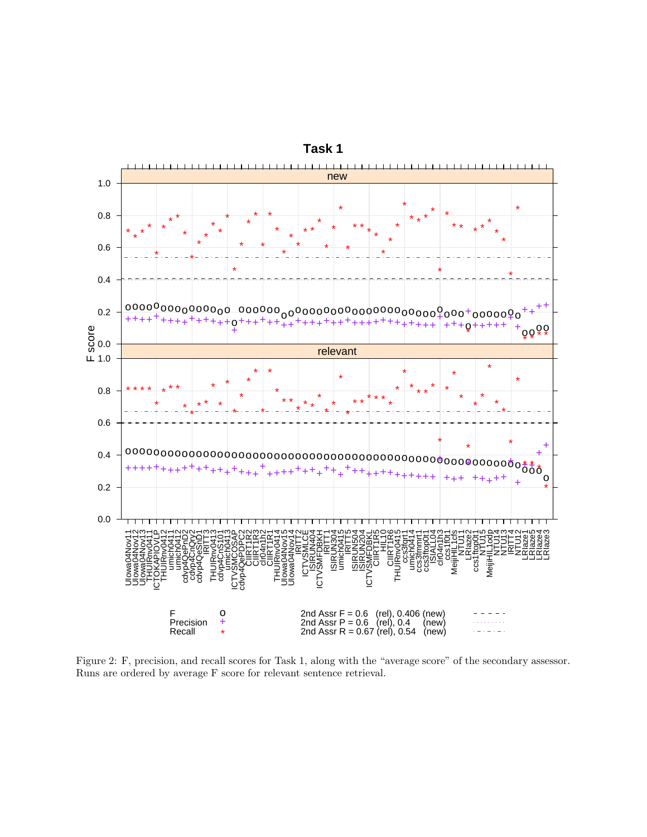

Figure 2: F, precision, and recall scores for Task 1, along with the "average score" of the secondary assessor. Runs are ordered by average  ${\cal F}$  score for relevant sentence retrieval.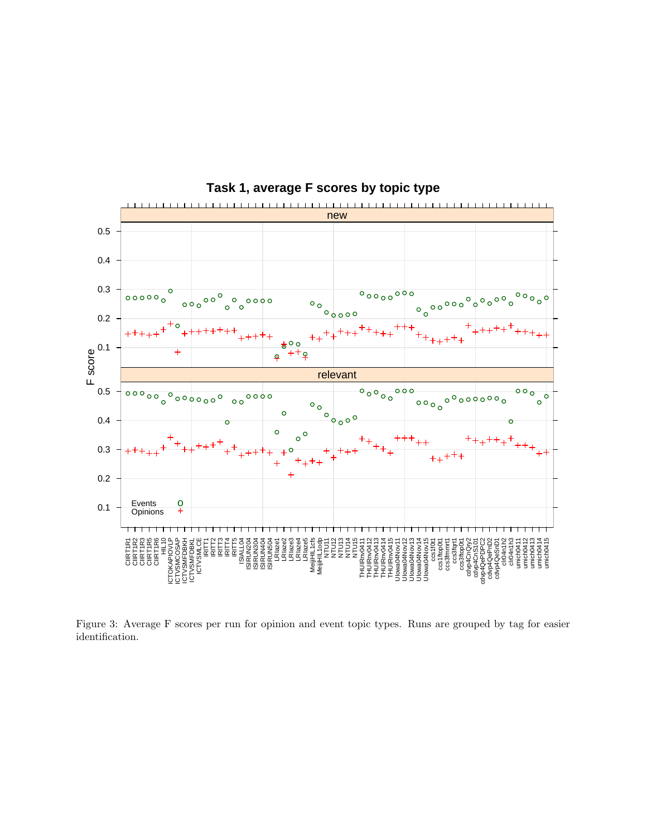

**Task 1, average F scores by topic type**

Figure 3: Average F scores per run for opinion and event topic types. Runs are grouped by tag for easier identification.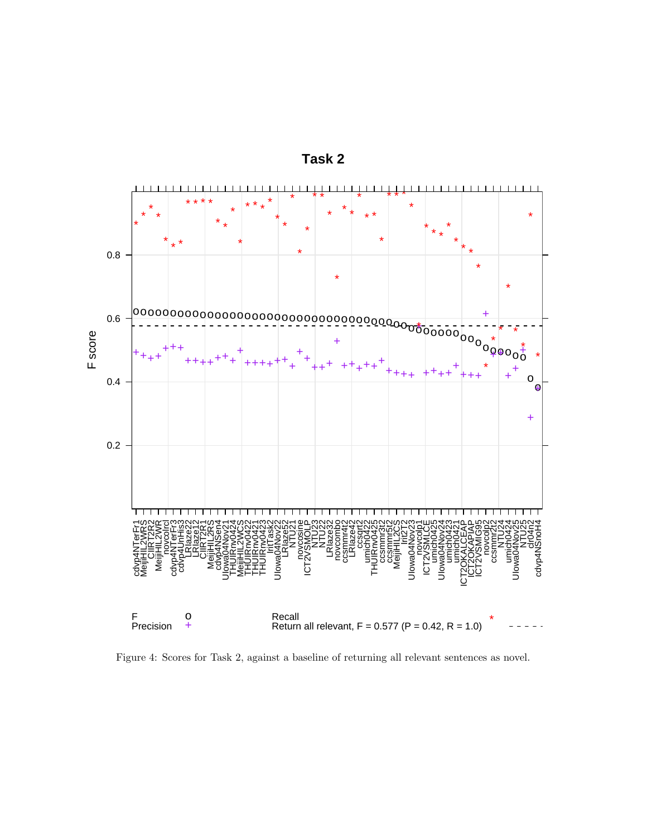

**Task 2**

Figure 4: Scores for Task 2, against a baseline of returning all relevant sentences as novel.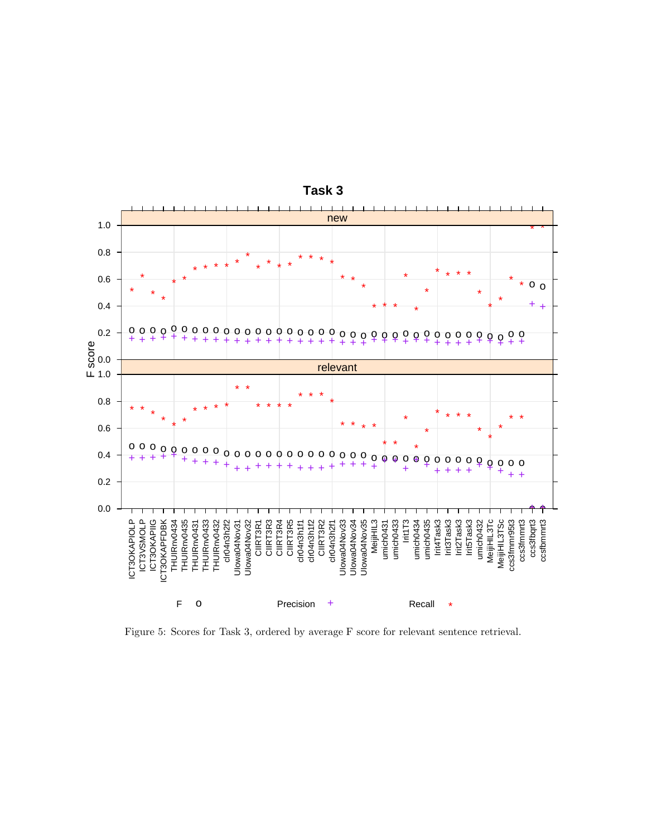

Task 3

Figure 5: Scores for Task 3, ordered by average F score for relevant sentence retrieval.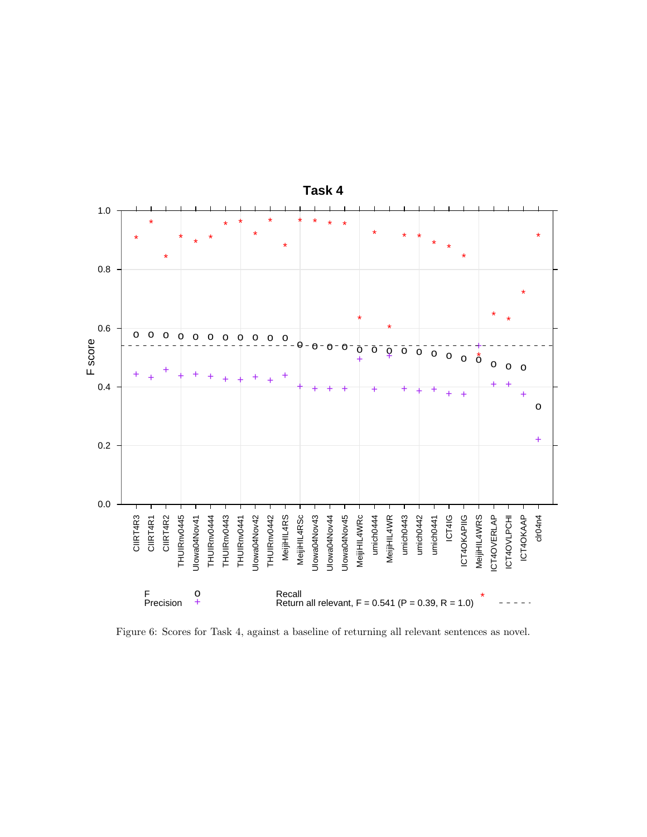

Figure 6: Scores for Task 4, against a baseline of returning all relevant sentences as novel.